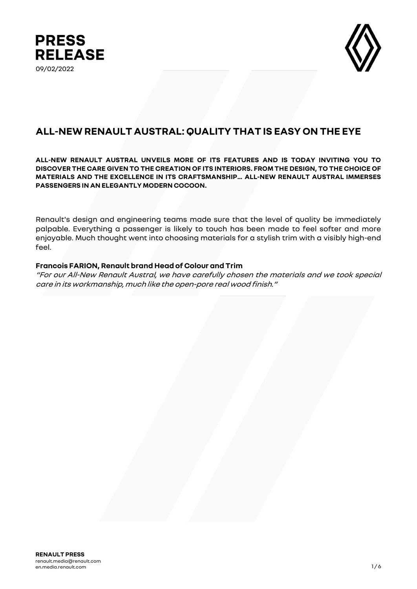



# **ALL-NEW RENAULT AUSTRAL: QUALITY THAT IS EASY ON THE EYE**

**ALL-NEW RENAULT AUSTRAL UNVEILS MORE OF ITS FEATURES AND IS TODAY INVITING YOU TO DISCOVER THE CARE GIVEN TO THE CREATION OF ITS INTERIORS. FROM THE DESIGN, TO THE CHOICE OF MATERIALS AND THE EXCELLENCE IN ITS CRAFTSMANSHIP… ALL-NEW RENAULT AUSTRAL IMMERSES PASSENGERS IN AN ELEGANTLY MODERN COCOON.**

Renault's design and engineering teams made sure that the level of quality be immediately palpable. Everything a passenger is likely to touch has been made to feel softer and more enjoyable. Much thought went into choosing materials for a stylish trim with a visibly high-end feel.

#### **Francois FARION, Renault brand Head of Colour and Trim**

"For our All-New Renault Austral, we have carefully chosen the materials and we took special care in its workmanship, much like the open-pore real wood finish."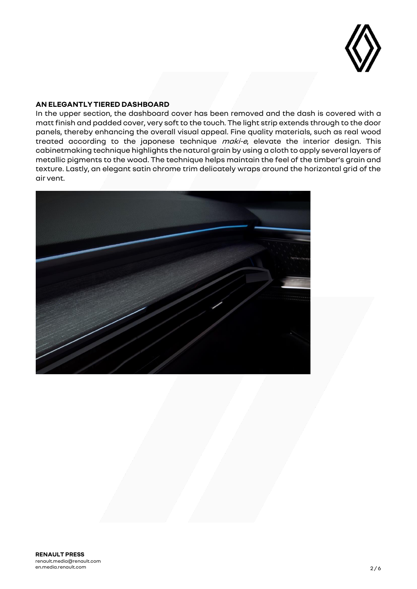

#### **AN ELEGANTLY TIERED DASHBOARD**

In the upper section, the dashboard cover has been removed and the dash is covered with a matt finish and padded cover, very soft to the touch. The light strip extends through to the door panels, thereby enhancing the overall visual appeal. Fine quality materials, such as real wood treated according to the japonese technique maki-e, elevate the interior design. This cabinetmaking technique highlights the natural grain by using a cloth to apply several layers of metallic pigments to the wood. The technique helps maintain the feel of the timber's grain and texture. Lastly, an elegant satin chrome trim delicately wraps around the horizontal grid of the air vent.



**RENAULT PRESS** renault.media@renault.com en.media.renault.com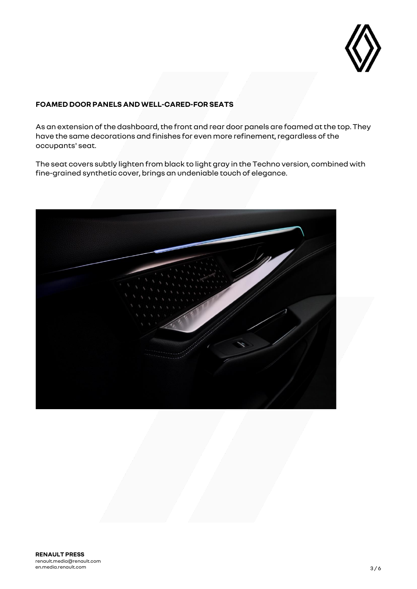

## **FOAMED DOOR PANELS AND WELL-CARED-FOR SEATS**

As an extension of the dashboard, the front and rear door panels are foamed at the top. They have the same decorations and finishes for even more refinement, regardless of the occupants' seat.

The seat covers subtly lighten from black to light gray in the Techno version, combined with fine-grained synthetic cover, brings an undeniable touch of elegance.

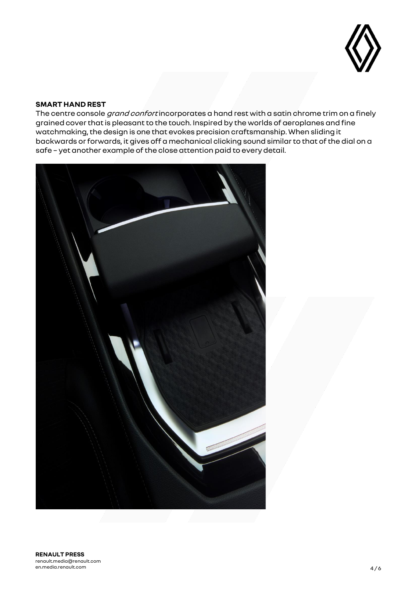

#### **SMART HAND REST**

The centre console *grand confort* incorporates a hand rest with a satin chrome trim on a finely grained cover that is pleasant to the touch. Inspired by the worlds of aeroplanes and fine watchmaking, the design is one that evokes precision craftsmanship. When sliding it backwards or forwards, it gives off a mechanical clicking sound similar to that of the dial on a safe – yet another example of the close attention paid to every detail.

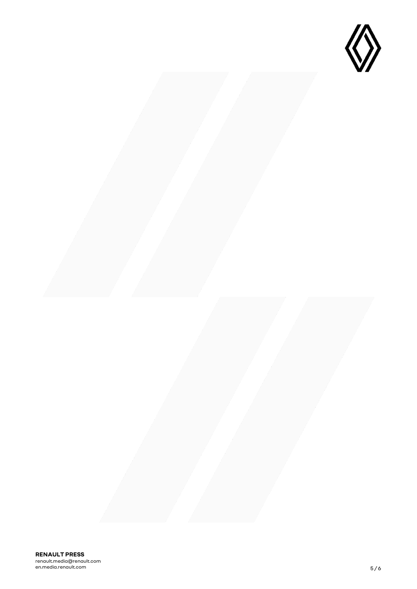

**RENAULT PRESS** renault.media@renault.com en.media.renault.com